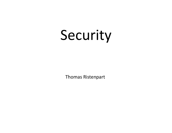# Security

Thomas Ristenpart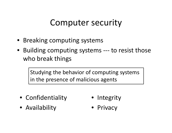# Computer security

- Breaking computing systems
- Building computing systems --- to resist those who break things

Studying the behavior of computing systems in the presence of malicious agents

- Confidentiality
- Availability
- Integrity
- Privacy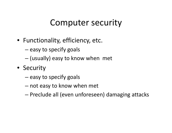## Computer security

- Functionality, efficiency, etc.
	- – $-$  easy to specify goals
	- –(usually) easy to know when met
- Security
	- – $-$  easy to specify goals
	- – $-$  not easy to know when met
	- $-$  Preclude all (even unforeseen) damaging attacks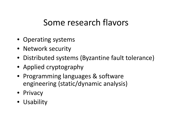# Some research flavors

- Operating systems
- Network security
- Distributed systems (Byzantine fault tolerance)
- Applied cryptography
- Programming languages & software engineering (static/dynamic analysis)
- Privacy
- Usability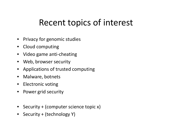# Recent topics of interest

- Privacy for genomic studies
- Cloud computing
- Video game anti-cheating
- Web, browser security
- Applications of trusted computing
- $\bullet$ Malware, botnets
- Electronic voting
- $\bullet$ Power grid security
- Security + (computer science topic x)
- Security + (technology Y)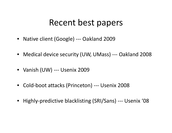### Recent best papers

- Native client (Google) --- Oakland 2009
- Medical device security (UW, UMass) --- Oakland 2008
- Vanish (UW) --- Usenix 2009
- Cold-boot attacks (Princeton) --- Usenix 2008
- Highly-predictive blacklisting (SRI/Sans) --- Usenix '08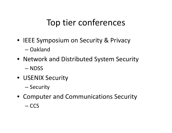# Top tier conferences

- IEEE Symposium on Security & Privacy–Oakland
- Network and Distributed System Security–— NDSS
- USENIX Security
	- Security
- Computer and Communications Security
	- $-$  CCS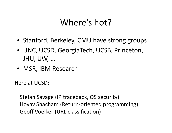# Where's hot?

- Stanford, Berkeley, CMU have strong groups
- UNC, UCSD, GeorgiaTech, UCSB, Princeton, JHU, UW, …
- MSR, IBM Research

Here at UCSD:

Stefan Savage (IP traceback, OS security)Hovav Shacham (Return-oriented programming)Geoff Voelker (URL classification)